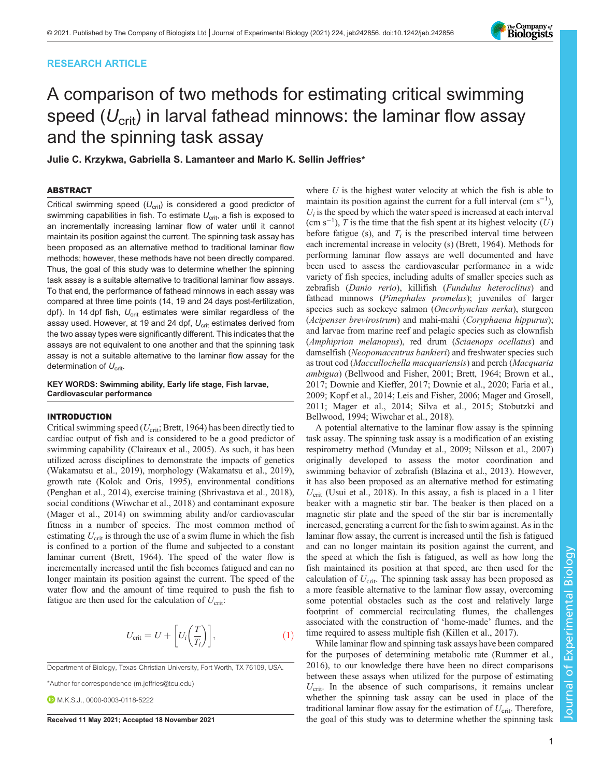## RESEARCH ARTICLE



# A comparison of two methods for estimating critical swimming speed ( $U_{\text{crit}}$ ) in larval fathead minnows: the laminar flow assay and the spinning task assay

Julie C. Krzykwa, Gabriella S. Lamanteer and Marlo K. Sellin Jeffries\*

#### ABSTRACT

Critical swimming speed  $(U_{\text{crit}})$  is considered a good predictor of swimming capabilities in fish. To estimate  $U_{\text{crit}}$ , a fish is exposed to an incrementally increasing laminar flow of water until it cannot maintain its position against the current. The spinning task assay has been proposed as an alternative method to traditional laminar flow methods; however, these methods have not been directly compared. Thus, the goal of this study was to determine whether the spinning task assay is a suitable alternative to traditional laminar flow assays. To that end, the performance of fathead minnows in each assay was compared at three time points (14, 19 and 24 days post-fertilization, dpf). In 14 dpf fish,  $U_{\text{crit}}$  estimates were similar regardless of the assay used. However, at 19 and 24 dpf,  $U_{\text{crit}}$  estimates derived from the two assay types were significantly different. This indicates that the assays are not equivalent to one another and that the spinning task assay is not a suitable alternative to the laminar flow assay for the determination of  $U_{\text{crit}}$ .

KEY WORDS: Swimming ability, Early life stage, Fish larvae, Cardiovascular performance

## INTRODUCTION

Critical swimming speed ( $U_{\text{crit}}$ ; [Brett, 1964\)](#page-4-0) has been directly tied to cardiac output of fish and is considered to be a good predictor of swimming capability [\(Claireaux et al., 2005](#page-4-0)). As such, it has been utilized across disciplines to demonstrate the impacts of genetics [\(Wakamatsu et al., 2019](#page-5-0)), morphology ([Wakamatsu et al., 2019\)](#page-5-0), growth rate [\(Kolok and Oris, 1995\)](#page-4-0), environmental conditions [\(Penghan et al., 2014](#page-5-0)), exercise training [\(Shrivastava et al., 2018\)](#page-5-0), social conditions [\(Wiwchar et al., 2018\)](#page-5-0) and contaminant exposure [\(Mager et al., 2014\)](#page-5-0) on swimming ability and/or cardiovascular fitness in a number of species. The most common method of estimating  $U_{\text{crit}}$  is through the use of a swim flume in which the fish is confined to a portion of the flume and subjected to a constant laminar current [\(Brett, 1964](#page-4-0)). The speed of the water flow is incrementally increased until the fish becomes fatigued and can no longer maintain its position against the current. The speed of the water flow and the amount of time required to push the fish to fatigue are then used for the calculation of  $U_{\rm crit}$ :

$$
U_{\rm crit} = U + \left[ U_i \left( \frac{T}{T_i} \right) \right],\tag{1}
$$

Department of Biology, Texas Christian University, Fort Worth, TX 76109, USA.

\*Author for correspondence [\(m.jeffries@tcu.edu\)](mailto:m.jeffries@tcu.edu)

**D.** M.K.S.J., [0000-0003-0118-5222](http://orcid.org/0000-0003-0118-5222)

where  $U$  is the highest water velocity at which the fish is able to maintain its position against the current for a full interval  $(\text{cm s}^{-1})$ ,  $U_i$  is the speed by which the water speed is increased at each interval (cm s<sup>-1</sup>), T is the time that the fish spent at its highest velocity (U) before fatigue (s), and  $T_i$  is the prescribed interval time between each incremental increase in velocity (s) ([Brett, 1964\)](#page-4-0). Methods for performing laminar flow assays are well documented and have been used to assess the cardiovascular performance in a wide variety of fish species, including adults of smaller species such as zebrafish (Danio rerio), killifish (Fundulus heteroclitus) and fathead minnows (Pimephales promelas); juveniles of larger species such as sockeye salmon (Oncorhynchus nerka), sturgeon (Acipenser brevirostrum) and mahi-mahi (Coryphaena hippurus); and larvae from marine reef and pelagic species such as clownfish (Amphiprion melanopus), red drum (Sciaenops ocellatus) and damselfish (Neopomacentrus bankieri) and freshwater species such as trout cod (Maccullochella macquariensis) and perch (Macquaria ambigua) ([Bellwood and Fisher, 2001](#page-4-0); [Brett, 1964](#page-4-0); [Brown et al.,](#page-4-0) [2017; Downie and Kieffer, 2017; Downie et al., 2020](#page-4-0); [Faria et al.,](#page-4-0) [2009;](#page-4-0) [Kopf et al., 2014; Leis and Fisher, 2006](#page-5-0); [Mager and Grosell,](#page-5-0) [2011; Mager et al., 2014](#page-5-0); [Silva et al., 2015](#page-5-0); [Stobutzki and](#page-5-0) [Bellwood, 1994; Wiwchar et al., 2018](#page-5-0)).

A potential alternative to the laminar flow assay is the spinning task assay. The spinning task assay is a modification of an existing respirometry method [\(Munday et al., 2009; Nilsson et al., 2007\)](#page-5-0) originally developed to assess the motor coordination and swimming behavior of zebrafish ([Blazina et al., 2013\)](#page-4-0). However, it has also been proposed as an alternative method for estimating  $U_{\text{crit}}$  ([Usui et al., 2018\)](#page-5-0). In this assay, a fish is placed in a 1 liter beaker with a magnetic stir bar. The beaker is then placed on a magnetic stir plate and the speed of the stir bar is incrementally increased, generating a current for the fish to swim against. As in the laminar flow assay, the current is increased until the fish is fatigued and can no longer maintain its position against the current, and the speed at which the fish is fatigued, as well as how long the fish maintained its position at that speed, are then used for the calculation of  $U_{\text{crit}}$ . The spinning task assay has been proposed as a more feasible alternative to the laminar flow assay, overcoming some potential obstacles such as the cost and relatively large footprint of commercial recirculating flumes, the challenges associated with the construction of 'home-made' flumes, and the time required to assess multiple fish [\(Killen et al., 2017](#page-4-0)).

While laminar flow and spinning task assays have been compared for the purposes of determining metabolic rate ([Rummer et al.,](#page-5-0) [2016\)](#page-5-0), to our knowledge there have been no direct comparisons between these assays when utilized for the purpose of estimating  $U_{\text{crit}}$ . In the absence of such comparisons, it remains unclear whether the spinning task assay can be used in place of the traditional laminar flow assay for the estimation of  $U_{\text{crit}}$ . Therefore, Received 11 May 2021; Accepted 18 November 2021 the goal of this study was to determine whether the spinning task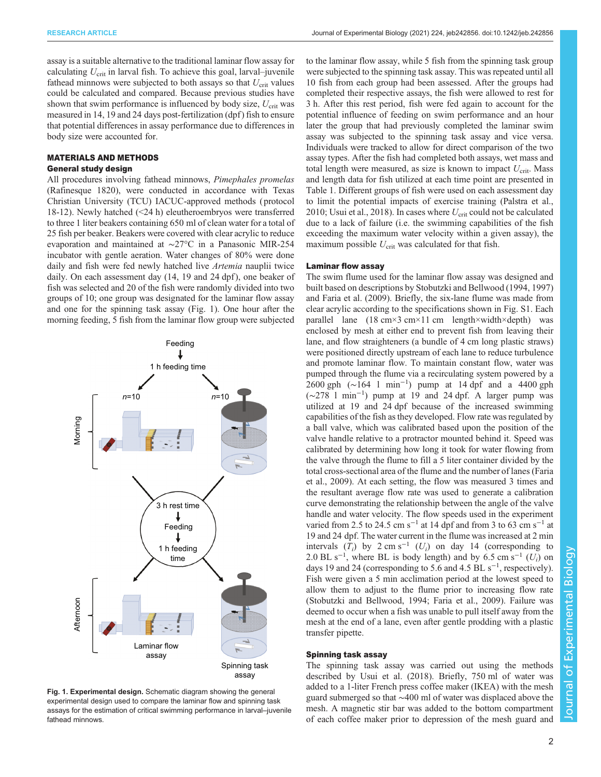assay is a suitable alternative to the traditional laminar flow assay for calculating  $U_{\text{crit}}$  in larval fish. To achieve this goal, larval–juvenile fathead minnows were subjected to both assays so that  $U_{\rm crit}$  values could be calculated and compared. Because previous studies have shown that swim performance is influenced by body size,  $U_{\text{crit}}$  was measured in 14, 19 and 24 days post-fertilization (dpf) fish to ensure that potential differences in assay performance due to differences in body size were accounted for.

## MATERIALS AND METHODS

## General study design

All procedures involving fathead minnows, Pimephales promelas (Rafinesque 1820), were conducted in accordance with Texas Christian University (TCU) IACUC-approved methods ( protocol 18-12). Newly hatched (<24 h) eleutheroembryos were transferred to three 1 liter beakers containing 650 ml of clean water for a total of 25 fish per beaker. Beakers were covered with clear acrylic to reduce evaporation and maintained at ∼27°C in a Panasonic MIR-254 incubator with gentle aeration. Water changes of 80% were done daily and fish were fed newly hatched live *Artemia* nauplii twice daily. On each assessment day (14, 19 and 24 dpf), one beaker of fish was selected and 20 of the fish were randomly divided into two groups of 10; one group was designated for the laminar flow assay and one for the spinning task assay (Fig. 1). One hour after the morning feeding, 5 fish from the laminar flow group were subjected



Fig. 1. Experimental design. Schematic diagram showing the general experimental design used to compare the laminar flow and spinning task assays for the estimation of critical swimming performance in larval–juvenile fathead minnows.

to the laminar flow assay, while 5 fish from the spinning task group were subjected to the spinning task assay. This was repeated until all 10 fish from each group had been assessed. After the groups had completed their respective assays, the fish were allowed to rest for 3 h. After this rest period, fish were fed again to account for the potential influence of feeding on swim performance and an hour later the group that had previously completed the laminar swim assay was subjected to the spinning task assay and vice versa. Individuals were tracked to allow for direct comparison of the two assay types. After the fish had completed both assays, wet mass and total length were measured, as size is known to impact  $U_{\text{crit}}$ . Mass and length data for fish utilized at each time point are presented in [Table 1](#page-2-0). Different groups of fish were used on each assessment day to limit the potential impacts of exercise training ([Palstra et al.,](#page-5-0) [2010; Usui et al., 2018\)](#page-5-0). In cases where  $U_{\text{crit}}$  could not be calculated due to a lack of failure (i.e. the swimming capabilities of the fish exceeding the maximum water velocity within a given assay), the maximum possible  $U_{\text{crit}}$  was calculated for that fish.

#### Laminar flow assay

The swim flume used for the laminar flow assay was designed and built based on descriptions by [Stobutzki and Bellwood \(1994, 1997\)](#page-5-0) and [Faria et al. \(2009\)](#page-4-0). Briefly, the six-lane flume was made from clear acrylic according to the specifications shown in [Fig. S1.](https://journals.biologists.com/jeb/article-lookup/DOI/10.1242/jeb.242856) Each parallel lane (18 cm×3 cm×11 cm length×width×depth) was enclosed by mesh at either end to prevent fish from leaving their lane, and flow straighteners (a bundle of 4 cm long plastic straws) were positioned directly upstream of each lane to reduce turbulence and promote laminar flow. To maintain constant flow, water was pumped through the flume via a recirculating system powered by a 2600 gph (∼164 l min−<sup>1</sup> ) pump at 14 dpf and a 4400 gph (∼278 l min−<sup>1</sup> ) pump at 19 and 24 dpf. A larger pump was utilized at 19 and 24 dpf because of the increased swimming capabilities of the fish as they developed. Flow rate was regulated by a ball valve, which was calibrated based upon the position of the valve handle relative to a protractor mounted behind it. Speed was calibrated by determining how long it took for water flowing from the valve through the flume to fill a 5 liter container divided by the total cross-sectional area of the flume and the number of lanes ([Faria](#page-4-0) [et al., 2009\)](#page-4-0). At each setting, the flow was measured 3 times and the resultant average flow rate was used to generate a calibration curve demonstrating the relationship between the angle of the valve handle and water velocity. The flow speeds used in the experiment varied from 2.5 to 24.5 cm s<sup>-1</sup> at 14 dpf and from 3 to 63 cm s<sup>-1</sup> at 19 and 24 dpf. The water current in the flume was increased at 2 min intervals  $(T_i)$  by 2 cm s<sup>-1</sup> ( $U_i$ ) on day 14 (corresponding to 2.0 BL s<sup>-1</sup>, where BL is body length) and by 6.5 cm s<sup>-1</sup> ( $U_i$ ) on days 19 and 24 (corresponding to 5.6 and 4.5 BL  $s^{-1}$ , respectively). Fish were given a 5 min acclimation period at the lowest speed to allow them to adjust to the flume prior to increasing flow rate [\(Stobutzki and Bellwood, 1994](#page-5-0); [Faria et al., 2009](#page-4-0)). Failure was deemed to occur when a fish was unable to pull itself away from the mesh at the end of a lane, even after gentle prodding with a plastic transfer pipette.

## Spinning task assay

The spinning task assay was carried out using the methods described by [Usui et al. \(2018\).](#page-5-0) Briefly, 750 ml of water was added to a 1-liter French press coffee maker (IKEA) with the mesh guard submerged so that ∼400 ml of water was displaced above the mesh. A magnetic stir bar was added to the bottom compartment of each coffee maker prior to depression of the mesh guard and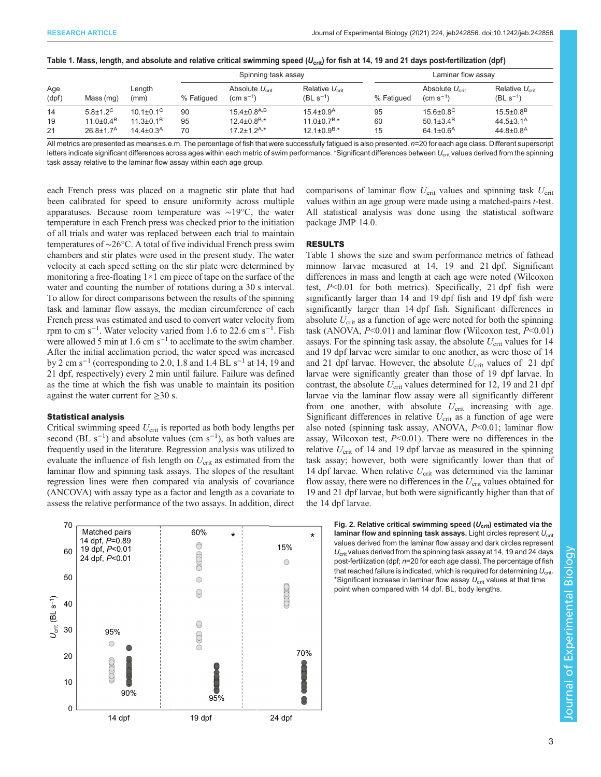<span id="page-2-0"></span>

|  |  |  |  | Table 1. Mass, length, and absolute and relative critical swimming speed (U $_{\rm crit}$ ) for fish at 14, 19 and 21 days post-fertilization (dpf) |  |  |  |  |  |
|--|--|--|--|-----------------------------------------------------------------------------------------------------------------------------------------------------|--|--|--|--|--|
|--|--|--|--|-----------------------------------------------------------------------------------------------------------------------------------------------------|--|--|--|--|--|

|              |                             |                             |            | Spinning task assay                                |                                          |            | Laminar flow assay                                 |                                          |  |
|--------------|-----------------------------|-----------------------------|------------|----------------------------------------------------|------------------------------------------|------------|----------------------------------------------------|------------------------------------------|--|
| Age<br>(dpf) | Mass (mg)                   | Length<br>(mm)              | % Fatigued | Absolute $U_{\text{crit}}$<br>$\rm (cm \; s^{-1})$ | Relative $U_{\rm crit}$<br>$(BL s^{-1})$ | % Fatiqued | Absolute $U_{\text{crit}}$<br>$\rm (cm \; s^{-1})$ | Relative $U_{\rm crit}$<br>$(BL s^{-1})$ |  |
| 14           | $5.8 \pm 1.2$ <sup>C</sup>  | 10.1 $\pm$ 0.1 $^{\circ}$   | 90         | $15.4 \pm 0.8$ <sup>A,B</sup>                      | $15.4 \pm 0.9$ <sup>A</sup>              | 95         | $15.6 \pm 0.8$ <sup>C</sup>                        | $15.5 \pm 0.8$ <sup>B</sup>              |  |
| 19           | $11.0 \pm 0.4$ <sup>B</sup> | $11.3 \pm 0.1^B$            | 95         | $12.4 \pm 0.8^{B,*}$                               | $11.0\pm0.7^{B,*}$                       | 60         | $50.1 \pm 3.4$ <sup>B</sup>                        | 44.5 $\pm$ 3.1 <sup>A</sup>              |  |
| 21           | $26.8 \pm 1.7^{\text{A}}$   | $14.4 \pm 0.3$ <sup>A</sup> | 70         | $17.2 \pm 1.2$ <sup>A,*</sup>                      | $12.1 \pm 0.9^{B,*}$                     | 15         | 64.1 $\pm$ 0.6 <sup>A</sup>                        | $44.8 \pm 0.8$ <sup>A</sup>              |  |

All metrics are presented as means±s.e.m. The percentage of fish that were successfully fatigued is also presented. n=20 for each age class. Different superscript letters indicate significant differences across ages within each metric of swim performance. \*Significant differences between U<sub>crit</sub> values derived from the spinning task assay relative to the laminar flow assay within each age group.

each French press was placed on a magnetic stir plate that had been calibrated for speed to ensure uniformity across multiple apparatuses. Because room temperature was ∼19°C, the water temperature in each French press was checked prior to the initiation of all trials and water was replaced between each trial to maintain temperatures of ∼26°C. A total of five individual French press swim chambers and stir plates were used in the present study. The water velocity at each speed setting on the stir plate were determined by monitoring a free-floating  $1\times 1$  cm piece of tape on the surface of the water and counting the number of rotations during a 30 s interval. To allow for direct comparisons between the results of the spinning task and laminar flow assays, the median circumference of each French press was estimated and used to convert water velocity from rpm to cm s<sup>-1</sup>. Water velocity varied from 1.6 to 22.6 cm s<sup>-1</sup>. Fish were allowed 5 min at 1.6 cm  $s^{-1}$  to acclimate to the swim chamber. After the initial acclimation period, the water speed was increased by 2 cm s<sup>-1</sup> (corresponding to 2.0, 1.8 and 1.4 BL s<sup>-1</sup> at 14, 19 and 21 dpf, respectively) every 2 min until failure. Failure was defined as the time at which the fish was unable to maintain its position against the water current for  $\geq 30$  s.

#### Statistical analysis

Critical swimming speed  $U_{\text{crit}}$  is reported as both body lengths per second (BL  $s^{-1}$ ) and absolute values (cm  $s^{-1}$ ), as both values are frequently used in the literature. Regression analysis was utilized to evaluate the influence of fish length on  $U_{\text{crit}}$  as estimated from the laminar flow and spinning task assays. The slopes of the resultant regression lines were then compared via analysis of covariance (ANCOVA) with assay type as a factor and length as a covariate to assess the relative performance of the two assays. In addition, direct



comparisons of laminar flow  $U_{\text{crit}}$  values and spinning task  $U_{\text{crit}}$ values within an age group were made using a matched-pairs t-test. All statistical analysis was done using the statistical software package JMP 14.0.

## RESULTS

Table 1 shows the size and swim performance metrics of fathead minnow larvae measured at 14, 19 and 21 dpf. Significant differences in mass and length at each age were noted (Wilcoxon test,  $P<0.01$  for both metrics). Specifically, 21 dpf fish were significantly larger than 14 and 19 dpf fish and 19 dpf fish were significantly larger than 14 dpf fish. Significant differences in absolute  $U_{\text{crit}}$  as a function of age were noted for both the spinning task (ANOVA,  $P<0.01$ ) and laminar flow (Wilcoxon test,  $P<0.01$ ) assays. For the spinning task assay, the absolute  $U_{\text{crit}}$  values for 14 and 19 dpf larvae were similar to one another, as were those of 14 and 21 dpf larvae. However, the absolute  $U_{\text{crit}}$  values of 21 dpf larvae were significantly greater than those of 19 dpf larvae. In contrast, the absolute  $U_{\text{crit}}$  values determined for 12, 19 and 21 dpf larvae via the laminar flow assay were all significantly different from one another, with absolute  $U_{\text{crit}}$  increasing with age. Significant differences in relative  $U_{\text{crit}}$  as a function of age were also noted (spinning task assay, ANOVA,  $P<0.01$ ; laminar flow assay, Wilcoxon test,  $P<0.01$ ). There were no differences in the relative  $U_{\text{crit}}$  of 14 and 19 dpf larvae as measured in the spinning task assay; however, both were significantly lower than that of 14 dpf larvae. When relative  $U_{\text{crit}}$  was determined via the laminar flow assay, there were no differences in the  $U_{\text{crit}}$  values obtained for 19 and 21 dpf larvae, but both were significantly higher than that of the 14 dpf larvae.

> Fig. 2. Relative critical swimming speed  $(U_{\text{crit}})$  estimated via the laminar flow and spinning task assays. Light circles represent  $U_{\text{crit}}$ values derived from the laminar flow assay and dark circles represent  $U_{\text{crit}}$  values derived from the spinning task assay at 14, 19 and 24 days post-fertilization (dpf; n=20 for each age class). The percentage of fish that reached failure is indicated, which is required for determining  $U_{\text{crit}}$ . \*Significant increase in laminar flow assay  $U_{\text{crit}}$  values at that time point when compared with 14 dpf. BL, body lengths.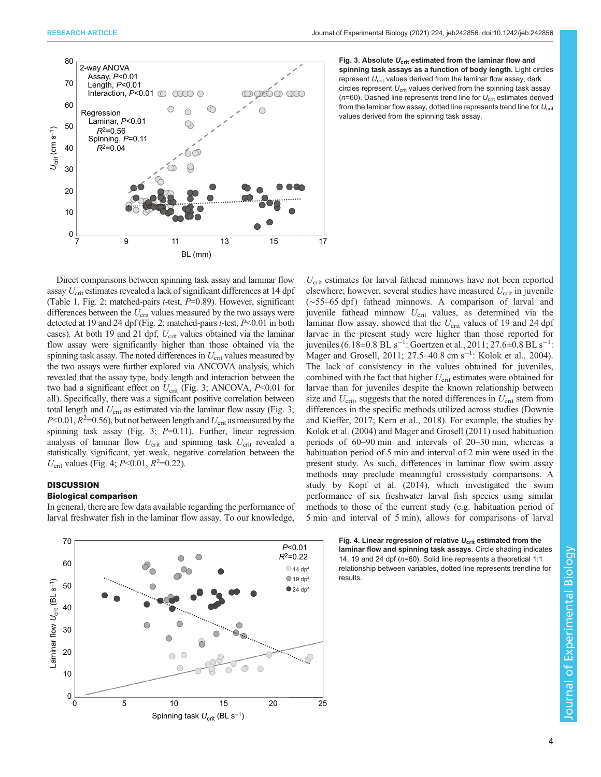

Fig. 3. Absolute  $U_{\text{crit}}$  estimated from the laminar flow and spinning task assays as a function of body length. Light circles represent  $U_{\text{crit}}$  values derived from the laminar flow assay, dark circles represent  $U_{\text{crit}}$  values derived from the spinning task assay ( $n=60$ ). Dashed line represents trend line for  $U_{\text{crit}}$  estimates derived from the laminar flow assay, dotted line represents trend line for  $U_{\rm crit}$ values derived from the spinning task assay.

Direct comparisons between spinning task assay and laminar flow assay U<sub>crit</sub> estimates revealed a lack of significant differences at 14 dpf [\(Table 1](#page-2-0), [Fig. 2](#page-2-0); matched-pairs  $t$ -test,  $P=0.89$ ). However, significant differences between the  $U_{\text{crit}}$  values measured by the two assays were detected at 19 and 24 dpf [\(Fig. 2;](#page-2-0) matched-pairs t-test, P<0.01 in both cases). At both 19 and 21 dpf,  $U_{\text{crit}}$  values obtained via the laminar flow assay were significantly higher than those obtained via the spinning task assay. The noted differences in  $U_{\text{crit}}$  values measured by the two assays were further explored via ANCOVA analysis, which revealed that the assay type, body length and interaction between the two had a significant effect on  $U_{\text{crit}}$  (Fig. 3; ANCOVA,  $P<0.01$  for all). Specifically, there was a significant positive correlation between total length and  $U_{\text{crit}}$  as estimated via the laminar flow assay (Fig. 3;  $P<0.01$ ,  $R^2=0.56$ ), but not between length and  $U_{\text{crit}}$  as measured by the spinning task assay (Fig. 3;  $P=0.11$ ). Further, linear regression analysis of laminar flow  $U_{\text{crit}}$  and spinning task  $U_{\text{crit}}$  revealed a statistically significant, yet weak, negative correlation between the  $U_{\text{crit}}$  values (Fig. 4; P<0.01, R<sup>2</sup>=0.22).

## **DISCUSSION**

## Biological comparison

In general, there are few data available regarding the performance of larval freshwater fish in the laminar flow assay. To our knowledge,



 $U_{\text{crit}}$  estimates for larval fathead minnows have not been reported elsewhere; however, several studies have measured  $U_{\text{crit}}$  in juvenile (~55–65 dpf) fathead minnows. A comparison of larval and juvenile fathead minnow  $U_{\text{crit}}$  values, as determined via the laminar flow assay, showed that the  $U_{\text{crit}}$  values of 19 and 24 dpf larvae in the present study were higher than those reported for juveniles (6.18±0.8 BL s<sup>-1</sup>: [Goertzen et al., 2011](#page-4-0); 27.6±0.8 BL s<sup>-1</sup>: [Mager and Grosell, 2011](#page-5-0); 27.5–40.8 cm s−<sup>1</sup> : [Kolok et al., 2004\)](#page-5-0). The lack of consistency in the values obtained for juveniles, combined with the fact that higher  $U_{\text{crit}}$  estimates were obtained for larvae than for juveniles despite the known relationship between size and  $U_{\text{crit}}$ , suggests that the noted differences in  $U_{\text{crit}}$  stem from differences in the specific methods utilized across studies [\(Downie](#page-4-0) [and Kieffer, 2017; Kern et al., 2018](#page-4-0)). For example, the studies by [Kolok et al. \(2004\)](#page-5-0) and [Mager and Grosell \(2011\)](#page-5-0) used habituation periods of 60–90 min and intervals of 20–30 min, whereas a habituation period of 5 min and interval of 2 min were used in the present study. As such, differences in laminar flow swim assay methods may preclude meaningful cross-study comparisons. A study by [Kopf et al. \(2014\)](#page-5-0), which investigated the swim performance of six freshwater larval fish species using similar methods to those of the current study (e.g. habituation period of 5 min and interval of 5 min), allows for comparisons of larval

> Fig. 4. Linear regression of relative  $U_{\text{crit}}$  estimated from the laminar flow and spinning task assays. Circle shading indicates 14, 19 and 24 dpf (n=60). Solid line represents a theoretical 1:1 relationship between variables, dotted line represents trendline for results.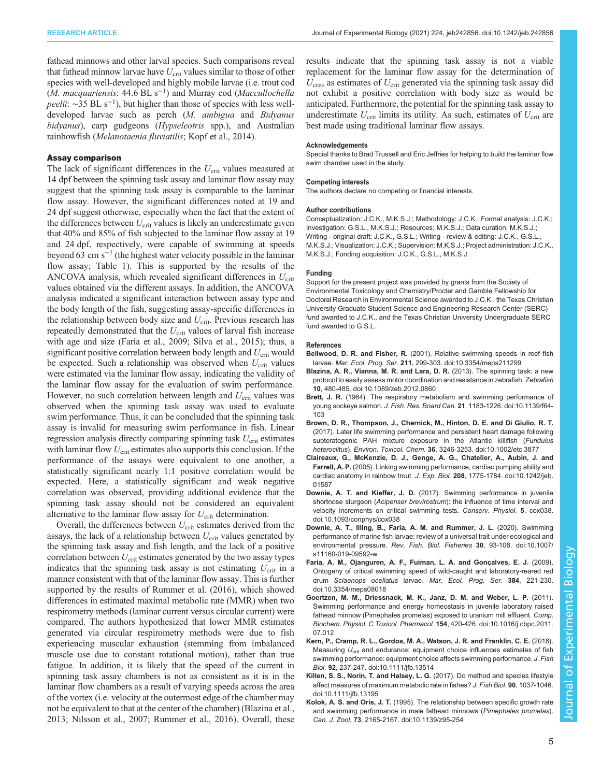<span id="page-4-0"></span>fathead minnows and other larval species. Such comparisons reveal that fathead minnow larvae have  $U_{\text{crit}}$  values similar to those of other species with well-developed and highly mobile larvae (i.e. trout cod  $(M.$  macquariensis: 44.6 BL s<sup>-1</sup>) and Murray cod (Maccullochella peelii: ~35 BL s<sup>-1</sup>), but higher than those of species with less welldeveloped larvae such as perch (M. ambigua and Bidyanus bidyanus), carp gudgeons (*Hypseleotris* spp.), and Australian rainbowfish (Melanotaenia fluviatilis; [Kopf et al., 2014\)](#page-5-0).

#### Assay comparison

The lack of significant differences in the  $U_{\text{crit}}$  values measured at 14 dpf between the spinning task assay and laminar flow assay may suggest that the spinning task assay is comparable to the laminar flow assay. However, the significant differences noted at 19 and 24 dpf suggest otherwise, especially when the fact that the extent of the differences between  $U_{\text{crit}}$  values is likely an underestimate given that 40% and 85% of fish subjected to the laminar flow assay at 19 and 24 dpf, respectively, were capable of swimming at speeds beyond 63 cm  $s^{-1}$  (the highest water velocity possible in the laminar flow assay; [Table 1\)](#page-2-0). This is supported by the results of the ANCOVA analysis, which revealed significant differences in  $U_{\text{crit}}$ values obtained via the different assays. In addition, the ANCOVA analysis indicated a significant interaction between assay type and the body length of the fish, suggesting assay-specific differences in the relationship between body size and  $U_{\text{crit}}$ . Previous research has repeatedly demonstrated that the  $U_{\text{crit}}$  values of larval fish increase with age and size (Faria et al., 2009; [Silva et al., 2015\)](#page-5-0); thus, a significant positive correlation between body length and  $U_{\text{crit}}$  would be expected. Such a relationship was observed when  $U_{\rm crit}$  values were estimated via the laminar flow assay, indicating the validity of the laminar flow assay for the evaluation of swim performance. However, no such correlation between length and  $U_{\text{crit}}$  values was observed when the spinning task assay was used to evaluate swim performance. Thus, it can be concluded that the spinning task assay is invalid for measuring swim performance in fish. Linear regression analysis directly comparing spinning task  $U_{\text{crit}}$  estimates with laminar flow  $U_{\text{crit}}$  estimates also supports this conclusion. If the performance of the assays were equivalent to one another, a statistically significant nearly 1:1 positive correlation would be expected. Here, a statistically significant and weak negative correlation was observed, providing additional evidence that the spinning task assay should not be considered an equivalent alternative to the laminar flow assay for  $U_{\text{crit}}$  determination.

Overall, the differences between  $U_{\text{crit}}$  estimates derived from the assays, the lack of a relationship between  $U_{\text{crit}}$  values generated by the spinning task assay and fish length, and the lack of a positive correlation between  $U_{\text{crit}}$  estimates generated by the two assay types indicates that the spinning task assay is not estimating  $U_{\rm crit}$  in a manner consistent with that of the laminar flow assay. This is further supported by the results of [Rummer et al. \(2016\)](#page-5-0), which showed differences in estimated maximal metabolic rate (MMR) when two respirometry methods (laminar current versus circular current) were compared. The authors hypothesized that lower MMR estimates generated via circular respirometry methods were due to fish experiencing muscular exhaustion (stemming from imbalanced muscle use due to constant rotational motion), rather than true fatigue. In addition, it is likely that the speed of the current in spinning task assay chambers is not as consistent as it is in the laminar flow chambers as a result of varying speeds across the area of the vortex (i.e. velocity at the outermost edge of the chamber may not be equivalent to that at the center of the chamber) (Blazina et al., 2013; [Nilsson et al., 2007](#page-5-0); [Rummer et al., 2016\)](#page-5-0). Overall, these

results indicate that the spinning task assay is not a viable replacement for the laminar flow assay for the determination of  $U_{\text{crit}}$ , as estimates of  $U_{\text{crit}}$  generated via the spinning task assay did not exhibit a positive correlation with body size as would be anticipated. Furthermore, the potential for the spinning task assay to underestimate  $U_{\text{crit}}$  limits its utility. As such, estimates of  $U_{\text{crit}}$  are best made using traditional laminar flow assays.

#### Acknowledgements

Special thanks to Brad Trussell and Eric Jeffries for helping to build the laminar flow swim chamber used in the study.

### Competing interests

The authors declare no competing or financial interests.

#### Author contributions

Conceptualization: J.C.K., M.K.S.J.; Methodology: J.C.K.; Formal analysis: J.C.K.; Investigation: G.S.L., M.K.S.J.; Resources: M.K.S.J.; Data curation: M.K.S.J.; Writing - original draft: J.C.K., G.S.L.; Writing - review & editing: J.C.K., G.S.L., M.K.S.J.; Visualization: J.C.K.; Supervision: M.K.S.J.; Project administration: J.C.K., M.K.S.J.; Funding acquisition: J.C.K., G.S.L., M.K.S.J.

#### Funding

Support for the present project was provided by grants from the Society of Environmental Toxicology and Chemistry/Procter and Gamble Fellowship for Doctoral Research in Environmental Science awarded to J.C.K., the Texas Christian University Graduate Student Science and Engineering Research Center (SERC) fund awarded to J.C.K., and the Texas Christian University Undergraduate SERC fund awarded to G.S.L.

#### References

- Bellwood, D. R. and Fisher, R. [\(2001\). Relative swimming speeds in reef fish](https://doi.org/10.3354/meps211299) larvae. Mar. Ecol. Prog. Ser. 211[, 299-303. doi:10.3354/meps211299](https://doi.org/10.3354/meps211299)
- [Blazina, A. R., Vianna, M. R. and Lara, D. R.](https://doi.org/10.1089/zeb.2012.0860) (2013). The spinning task: a new [protocol to easily assess motor coordination and resistance in zebrafish.](https://doi.org/10.1089/zeb.2012.0860) Zebrafish 10[, 480-485. doi:10.1089/zeb.2012.0860](https://doi.org/10.1089/zeb.2012.0860)
- Brett, J. R. [\(1964\). The respiratory metabolism and swimming performance of](https://doi.org/10.1139/f64-103) young sockeye salmon. J. Fish. Res. Board Can. 21[, 1183-1226. doi:10.1139/f64-](https://doi.org/10.1139/f64-103) [103](https://doi.org/10.1139/f64-103)
- [Brown, D. R., Thompson, J., Chernick, M., Hinton, D. E. and Di Giulio, R. T.](https://doi.org/10.1002/etc.3877) [\(2017\). Later life swimming performance and persistent heart damage following](https://doi.org/10.1002/etc.3877) [subteratogenic PAH mixture exposure in the Atlantic killifish \(](https://doi.org/10.1002/etc.3877)Fundulus heteroclitus). Environ. Toxicol. Chem. 36[, 3246-3253. doi:10.1002/etc.3877](https://doi.org/10.1002/etc.3877)
- [Claireaux, G., McKenzie, D. J., Genge, A. G., Chatelier, A., Aubin, J. and](https://doi.org/10.1242/jeb.01587) Farrell, A. P. [\(2005\). Linking swimming performance, cardiac pumping ability and](https://doi.org/10.1242/jeb.01587) [cardiac anatomy in rainbow trout.](https://doi.org/10.1242/jeb.01587) J. Exp. Biol. 208, 1775-1784. doi:10.1242/jeb. [01587](https://doi.org/10.1242/jeb.01587)
- Downie, A. T. and Kieffer, J. D. [\(2017\). Swimming performance in juvenile](https://doi.org/10.1093/conphys/cox038) shortnose sturgeon (Acipenser brevirostrum[\): the influence of time interval and](https://doi.org/10.1093/conphys/cox038) [velocity increments on critical swimming tests.](https://doi.org/10.1093/conphys/cox038) Conserv. Physiol. 5, cox038. [doi:10.1093/conphys/cox038](https://doi.org/10.1093/conphys/cox038)
- [Downie, A. T., Illing, B., Faria, A. M. and Rummer, J. L.](https://doi.org/10.1007/s11160-019-09592-w) (2020). Swimming [performance of marine fish larvae: review of a universal trait under ecological and](https://doi.org/10.1007/s11160-019-09592-w) environmental pressure. [Rev. Fish. Biol. Fisheries](https://doi.org/10.1007/s11160-019-09592-w) 30, 93-108. doi:10.1007/ [s11160-019-09592-w](https://doi.org/10.1007/s11160-019-09592-w)
- [Faria, A. M., Ojanguren, A. F., Fuiman, L. A. and Gonçalves, E. J.](https://doi.org/10.3354/meps08018) (2009). [Ontogeny of critical swimming speed of wild-caught and laboratory-reared red](https://doi.org/10.3354/meps08018) drum Sciaenops ocellatus larvae. [Mar. Ecol. Prog. Ser.](https://doi.org/10.3354/meps08018) 384, 221-230. [doi:10.3354/meps08018](https://doi.org/10.3354/meps08018)
- [Goertzen, M. M., Driessnack, M. K., Janz, D. M. and Weber, L. P.](https://doi.org/10.1016/j.cbpc.2011.07.012) (2011). [Swimming performance and energy homeostasis in juvenile laboratory raised](https://doi.org/10.1016/j.cbpc.2011.07.012) [fathead minnow \(Pimephales promelas\) exposed to uranium mill effluent.](https://doi.org/10.1016/j.cbpc.2011.07.012) Comp. [Biochem. Physiol. C Toxicol. Pharmacol.](https://doi.org/10.1016/j.cbpc.2011.07.012) 154, 420-426. doi:10.1016/j.cbpc.2011. [07.012](https://doi.org/10.1016/j.cbpc.2011.07.012)
- [Kern, P., Cramp, R. L., Gordos, M. A., Watson, J. R. and Franklin, C. E.](https://doi.org/10.1111/jfb.13514) (2018). [Measuring](https://doi.org/10.1111/jfb.13514)  $U_{\text{crit}}$  [and endurance: equipment choice influences estimates of fish](https://doi.org/10.1111/jfb.13514) [swimming performance: equipment choice affects swimming performance.](https://doi.org/10.1111/jfb.13514) J. Fish Biol. 92[, 237-247. doi:10.1111/jfb.13514](https://doi.org/10.1111/jfb.13514)
- [Killen, S. S., Norin, T. and Halsey, L. G.](https://doi.org/10.1111/jfb.13195) (2017). Do method and species lifestyle [affect measures of maximum metabolic rate in fishes?](https://doi.org/10.1111/jfb.13195) J. Fish Biol. 90, 1037-1046. [doi:10.1111/jfb.13195](https://doi.org/10.1111/jfb.13195)
- Kolok, A. S. and Oris, J. T. [\(1995\). The relationship between specific growth rate](https://doi.org/10.1139/z95-254) [and swimming performance in male fathead minnows \(](https://doi.org/10.1139/z95-254)Pimephales promelas). Can. J. Zool. 73[, 2165-2167. doi:10.1139/z95-254](https://doi.org/10.1139/z95-254)